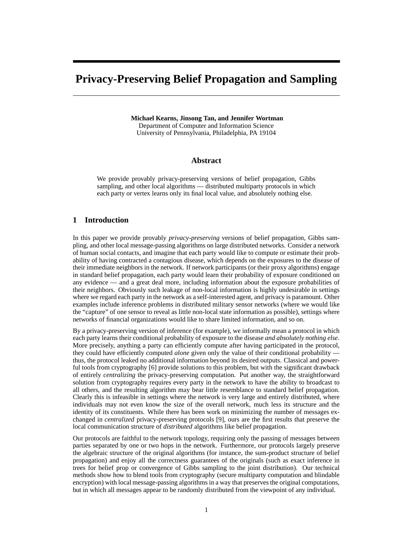# **Privacy-Preserving Belief Propagation and Sampling**

**Michael Kearns, Jinsong Tan, and Jennifer Wortman** Department of Computer and Information Science University of Pennsylvania, Philadelphia, PA 19104

### **Abstract**

We provide provably privacy-preserving versions of belief propagation, Gibbs sampling, and other local algorithms — distributed multiparty protocols in which each party or vertex learns only its final local value, and absolutely nothing else.

# **1 Introduction**

In this paper we provide provably *privacy-preserving* versions of belief propagation, Gibbs sampling, and other local message-passing algorithms on large distributed networks. Consider a network of human social contacts, and imagine that each party would like to compute or estimate their probability of having contracted a contagious disease, which depends on the exposures to the disease of their immediate neighbors in the network. If network participants (or their proxy algorithms) engage in standard belief propagation, each party would learn their probability of exposure conditioned on any evidence — and a great deal more, including information about the exposure probabilities of their neighbors. Obviously such leakage of non-local information is highly undesirable in settings where we regard each party in the network as a self-interested agent, and privacy is paramount. Other examples include inference problems in distributed military sensor networks (where we would like the "capture" of one sensor to reveal as little non-local state information as possible), settings where networks of financial organizations would like to share limited information, and so on.

By a privacy-preserving version of inference (for example), we informally mean a protocol in which each party learns their conditional probability of exposure to the disease *and absolutely nothing else*. More precisely, anything a party can efficiently compute after having participated in the protocol, they could have efficiently computed *alone* given only the value of their conditional probability thus, the protocol leaked no additional information beyond its desired outputs. Classical and powerful tools from cryptography [6] provide solutions to this problem, but with the significant drawback of entirely *centralizing* the privacy-preserving computation. Put another way, the straightforward solution from cryptography requires every party in the network to have the ability to broadcast to all others, and the resulting algorithm may bear little resemblance to standard belief propagation. Clearly this is infeasible in settings where the network is very large and entirely distributed, where individuals may not even know the size of the overall network, much less its structure and the identity of its constituents. While there has been work on minimizing the number of messages exchanged in *centralized* privacy-preserving protocols [9], ours are the first results that preserve the local communication structure of *distributed* algorithms like belief propagation.

Our protocols are faithful to the network topology, requiring only the passing of messages between parties separated by one or two hops in the network. Furthermore, our protocols largely preserve the algebraic structure of the original algorithms (for instance, the sum-product structure of belief propagation) and enjoy all the correctness guarantees of the originals (such as exact inference in trees for belief prop or convergence of Gibbs sampling to the joint distribution). Our technical methods show how to blend tools from cryptography (secure multiparty computation and blindable encryption) with local message-passing algorithms in a way that preserves the original computations, but in which all messages appear to be randomly distributed from the viewpoint of any individual.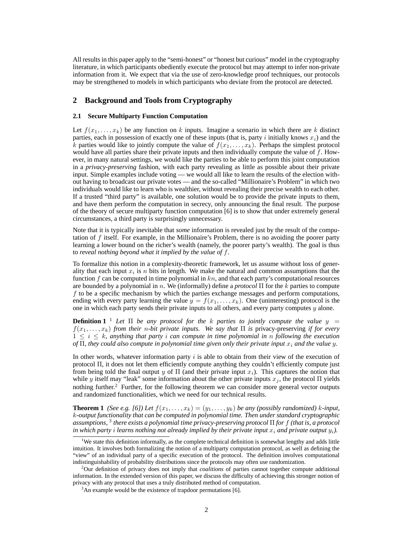All results in this paper apply to the "semi-honest" or "honest but curious" model in the cryptography literature, in which participants obediently execute the protocol but may attempt to infer non-private information from it. We expect that via the use of zero-knowledge proof techniques, our protocols may be strengthened to models in which participants who deviate from the protocol are detected.

## **2 Background and Tools from Cryptography**

#### **2.1 Secure Multiparty Function Computation**

Let  $f(x_1, \ldots, x_k)$  be any function on k inputs. Imagine a scenario in which there are k distinct parties, each in possession of exactly one of these inputs (that is, party i initially knows  $x_i$ ) and the k parties would like to jointly compute the value of  $f(x_1, \ldots, x_k)$ . Perhaps the simplest protocol would have all parties share their private inputs and then individually compute the value of  $f$ . However, in many natural settings, we would like the parties to be able to perform this joint computation in a *privacy-preserving* fashion, with each party revealing as little as possible about their private input. Simple examples include voting — we would all like to learn the results of the election without having to broadcast our private votes — and the so-called "Millionaire's Problem" in which two individuals would like to learn who is wealthier, without revealing their precise wealth to each other. If a trusted "third party" is available, one solution would be to provide the private inputs to them, and have them perform the computation in secrecy, only announcing the final result. The purpose of the theory of secure multiparty function computation [6] is to show that under extremely general circumstances, a third party is surprisingly unnecessary.

Note that it is typically inevitable that *some* information is revealed just by the result of the computation of  $f$  itself. For example, in the Millionaire's Problem, there is no avoiding the poorer party learning a lower bound on the richer's wealth (namely, the poorer party's wealth). The goal is thus to *reveal nothing beyond what it implied by the value of* f*.*

To formalize this notion in a complexity-theoretic framework, let us assume without loss of generality that each input  $x_i$  is n bits in length. We make the natural and common assumptions that the function  $f$  can be computed in time polynomial in  $kn$ , and that each party's computational resources are bounded by a polynomial in n. We (informally) define a *protocol* Π for the k parties to compute  $f$  to be a specific mechanism by which the parties exchange messages and perform computations, ending with every party learning the value  $y = f(x_1, \ldots, x_k)$ . One (uninteresting) protocol is the one in which each party sends their private inputs to all others, and every party computes y alone.

**Definition 1** <sup>1</sup> *Let*  $\Pi$  *be any protocol for the k parties to jointly compute the value*  $y =$  $f(x_1, \ldots, x_k)$  *from their n-bit private inputs. We say that*  $\Pi$  *is privacy-preserving if for every*  $1 \leq i \leq k$ , anything that party i can compute in time polynomial in n following the execution *of*  $\Pi$ *, they could also compute in polynomial time given only their private input*  $x_i$  *and the value* y.

In other words, whatever information party  $i$  is able to obtain from their view of the execution of protocol Π, it does not let them efficiently compute anything they couldn't efficiently compute just from being told the final output y of  $\Pi$  (and their private input  $x_i$ ). This captures the notion that while y itself may "leak" some information about the other private inputs  $x_j$ , the protocol  $\Pi$  yields nothing further.<sup>2</sup> Further, for the following theorem we can consider more general vector outputs and randomized functionalities, which we need for our technical results.

**Theorem 1** *(See e.g. [6]) Let*  $f(x_1, \ldots, x_k) = (y_1, \ldots, y_k)$  *be any (possibly randomized)* k-input, k*-output functionality that can be computed in polynomial time. Then under standard cryptographic assumptions,* <sup>3</sup> *there exists a polynomial time privacy-preserving protocol* Π *for* f *(that is, a protocol in which party i learns nothing not already implied by their private input*  $x_i$  *and private output*  $y_i$ *).* 

<sup>&</sup>lt;sup>1</sup>We state this definition informally, as the complete technical definition is somewhat lengthy and adds little intuition. It involves both formalizing the notion of a multiparty computation protocol, as well as defining the "view" of an individual party of a specific execution of the protocol. The definition involves computational indistinguishability of probability distributions since the protocols may often use randomization.

<sup>2</sup>Our definition of privacy does not imply that *coalitions* of parties cannot together compute additional information. In the extended version of this paper, we discuss the difficulty of achieving this stronger notion of privacy with any protocol that uses a truly distributed method of computation.

<sup>&</sup>lt;sup>3</sup>An example would be the existence of trapdoor permutations [6].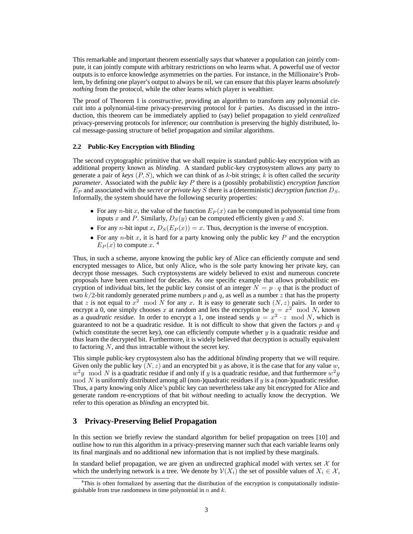This remarkable and important theorem essentially says that whatever a population can jointly compute, it can jointly compute with arbitrary restrictions on who learns what. A powerful use of vector outputs is to enforce knowledge asymmetries on the parties. For instance, in the Millionaire's Problem, by defining one player's output to always be nil, we can ensure that this player learns *absolutely nothing* from the protocol, while the other learns which player is wealthier.

The proof of Theorem 1 is *constructive*, providing an algorithm to transform any polynomial circuit into a polynomial-time privacy-preserving protocol for  $k$  parties. As discussed in the introduction, this theorem can be immediately applied to (say) belief propagation to yield *centralized* privacy-preserving protocols for inference; our contribution is preserving the highly distributed, local message-passing structure of belief propagation and similar algorithms.

#### **2.2 Public-Key Encryption with Blinding**

The second cryptographic primitive that we shall require is standard public-key encryption with an additional property known as *blinding*. A standard public-key cryptosystem allows any party to generate a pair of *keys* (P, S), which we can think of as k-bit strings; k is often called the *security parameter*. Associated with the *public key* P there is a (possibly probabilistic) *encryption function*  $E_P$  and associated with the *secret or private key* S there is a (deterministic) *decryption function*  $D_S$ . Informally, the system should have the following security properties:

- For any *n*-bit x, the value of the function  $E_P(x)$  can be computed in polynomial time from inputs x and P. Similarly,  $D_S(y)$  can be computed efficiently given y and S.
- For any *n*-bit input x,  $D_S(E_P(x)) = x$ . Thus, decryption is the inverse of encryption.
- For any *n*-bit x, it is hard for a party knowing only the public key  $P$  and the encryption  $E_P(x)$  to compute x.<sup>4</sup>

Thus, in such a scheme, anyone knowing the public key of Alice can efficiently compute and send encrypted messages to Alice, but only Alice, who is the sole party knowing her private key, can decrypt those messages. Such cryptosystems are widely believed to exist and numerous concrete proposals have been examined for decades. As one specific example that allows probabilistic encryption of individual bits, let the public key consist of an integer  $N = p \cdot q$  that is the product of two  $k/2$ -bit randomly generated prime numbers p and q, as well as a number z that has the property that z is not equal to  $x^2 \mod N$  for any x. It is easy to generate such  $(N, z)$  pairs. In order to encrypt a 0, one simply chooses x at random and lets the encryption be  $y = x^2 \mod N$ , known as a *quadratic residue*. In order to encrypt a 1, one instead sends  $y = x^2 \cdot z \mod N$ , which is guaranteed to not be a quadratic residue. It is not difficult to show that given the factors  $p$  and  $q$ (which constitute the secret key), one can efficiently compute whether  $y$  is a quadratic residue and thus learn the decrypted bit. Furthermore, it is widely believed that decryption is actually equivalent to factoring  $N$ , and thus intractable without the secret key.

This simple public-key cryptosystem also has the additional *blinding* property that we will require. Given only the public key  $(N, z)$  and an encrypted bit y as above, it is the case that for any value w,  $w^2y \mod N$  is a quadratic residue if and only if y is a quadratic residue, and that furthermore  $w^2y$ mod N is uniformly distributed among all (non-)quadratic residues if  $y$  is a (non-)quadratic residue. Thus, a party knowing only Alice's public key can nevertheless take any bit encrypted for Alice and generate random re-encryptions of that bit *without* needing to actually know the decryption. We refer to this operation as *blinding* an encrypted bit.

## **3 Privacy-Preserving Belief Propagation**

In this section we briefly review the standard algorithm for belief propagation on trees [10] and outline how to run this algorithm in a privacy-preserving manner such that each variable learns only its final marginals and no additional new information that is not implied by these marginals.

In standard belief propagation, we are given an undirected graphical model with vertex set  $\mathcal{X}$  for which the underlying network is a tree. We denote by  $\mathcal{V}(X_i)$  the set of possible values of  $X_i \in \mathcal{X}$ ,

<sup>&</sup>lt;sup>4</sup>This is often formalized by asserting that the distribution of the encryption is computationally indistinguishable from true randomness in time polynomial in  $n$  and  $k$ .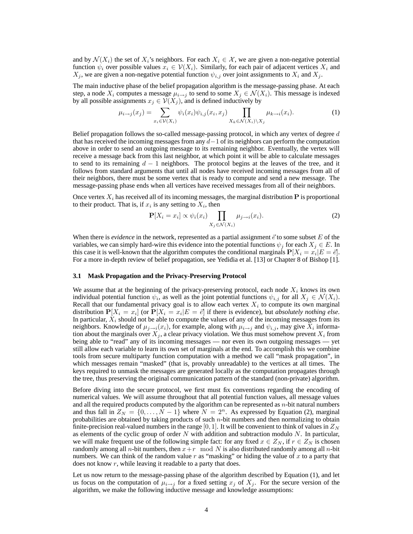and by  $\mathcal{N}(X_i)$  the set of  $X_i$ 's neighbors. For each  $X_i \in \mathcal{X}$ , we are given a non-negative potential function  $\psi_i$  over possible values  $x_i \in V(X_i)$ . Similarly, for each pair of adjacent vertices  $X_i$  and  $X_j$ , we are given a non-negative potential function  $\psi_{i,j}$  over joint assignments to  $X_i$  and  $X_j$ .

The main inductive phase of the belief propagation algorithm is the message-passing phase. At each step, a node  $X_i$  computes a message  $\mu_{i\to j}$  to send to some  $X_j \in \mathcal{N}(X_i)$ . This message is indexed by all possible assignments  $x_i \in V(X_i)$ , and is defined inductively by

$$
\mu_{i \to j}(x_j) = \sum_{x_i \in \mathcal{V}(X_i)} \psi_i(x_i) \psi_{i,j}(x_i, x_j) \prod_{X_k \in \mathcal{N}(X_i) \setminus X_j} \mu_{k \to i}(x_i). \tag{1}
$$

Belief propagation follows the so-called message-passing protocol, in which any vertex of degree  $d$ that has received the incoming messages from any  $d-1$  of its neighbors can perform the computation above in order to send an outgoing message to its remaining neighbor. Eventually, the vertex will receive a message back from this last neighbor, at which point it will be able to calculate messages to send to its remaining  $d - 1$  neighbors. The protocol begins at the leaves of the tree, and it follows from standard arguments that until all nodes have received incoming messages from all of their neighbors, there must be some vertex that is ready to compute and send a new message. The message-passing phase ends when all vertices have received messages from all of their neighbors.

Once vertex  $X_i$  has received all of its incoming messages, the marginal distribution **P** is proportional to their product. That is, if  $x_i$  is any setting to  $X_i$ , then

$$
\mathbf{P}[X_i = x_i] \propto \psi_i(x_i) \prod_{X_j \in \mathcal{N}(X_i)} \mu_{j \to i}(x_i). \tag{2}
$$

When there is *evidence* in the network, represented as a partial assignment  $\vec{e}$  to some subset E of the variables, we can simply hard-wire this evidence into the potential functions  $\psi_j$  for each  $X_j \in E$ . In this case it is well-known that the algorithm computes the conditional marginals  $P[X_i = x_i | E = \vec{e}]$ . For a more in-depth review of belief propagation, see Yedidia et al. [13] or Chapter 8 of Bishop [1].

#### **3.1 Mask Propagation and the Privacy-Preserving Protocol**

We assume that at the beginning of the privacy-preserving protocol, each node  $X_i$  knows its own individual potential function  $\psi_i$ , as well as the joint potential functions  $\psi_{i,j}$  for all  $X_j \in \mathcal{N}(X_i)$ . Recall that our fundamental privacy goal is to allow each vertex  $X_i$  to compute its own marginal distribution  $P[X_i = x_i]$  (or  $P[X_i = x_i | E = \vec{e}]$  if there is evidence), but *absolutely nothing else*. In particular,  $\dot{X}_i$  should not be able to compute the values of any of the incoming messages from its neighbors. Knowledge of  $\mu_{j\to i}(x_i)$ , for example, along with  $\mu_{i\to j}$  and  $\psi_{i,j}$ , may give  $X_i$  information about the marginals over  $X_i$ , a clear privacy violation. We thus must somehow prevent  $X_i$  from being able to "read" any of its incoming messages — nor even its own outgoing messages — yet still allow each variable to learn its own set of marginals at the end. To accomplish this we combine tools from secure multiparty function computation with a method we call "mask propagation", in which messages remain "masked" (that is, provably unreadable) to the vertices at all times. The keys required to unmask the messages are generated locally as the computation propagates through the tree, thus preserving the original communication pattern of the standard (non-private) algorithm.

Before diving into the secure protocol, we first must fix conventions regarding the encoding of numerical values. We will assume throughout that all potential function values, all message values and all the required products computed by the algorithm can be represented as  $n$ -bit natural numbers and thus fall in  $Z_N = \{0, \ldots, N-1\}$  where  $N = 2^n$ . As expressed by Equation (2), marginal probabilities are obtained by taking products of such  $n$ -bit numbers and then normalizing to obtain finite-precision real-valued numbers in the range [0, 1]. It will be convenient to think of values in  $Z_N$ as elements of the cyclic group of order  $N$  with addition and subtraction modulo  $N$ . In particular, we will make frequent use of the following simple fact: for any fixed  $x \in Z_N$ , if  $r \in Z_N$  is chosen randomly among all n-bit numbers, then  $x+r \mod N$  is also distributed randomly among all n-bit numbers. We can think of the random value r as "masking" or hiding the value of x to a party that does not know  $r$ , while leaving it readable to a party that does.

Let us now return to the message-passing phase of the algorithm described by Equation (1), and let us focus on the computation of  $\mu_{i\to j}$  for a fixed setting  $x_j$  of  $X_j$ . For the secure version of the algorithm, we make the following inductive message and knowledge assumptions: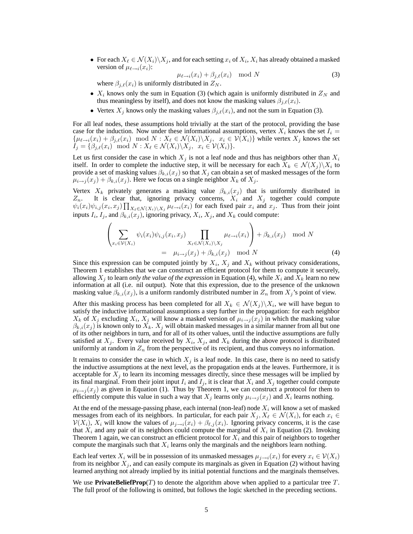• For each  $X_\ell \in \mathcal{N}(X_i) \backslash X_j$ , and for each setting  $x_i$  of  $X_i$ ,  $X_i$  has already obtained a masked version of  $\mu_{\ell \to i}(x_i)$ :

$$
\mu_{\ell \to i}(x_i) + \beta_{j,\ell}(x_i) \mod N \tag{3}
$$

where  $\beta_{j,\ell}(x_i)$  is uniformly distributed in  $Z_N$ .

- $X_i$  knows only the sum in Equation (3) (which again is uniformly distributed in  $Z_N$  and thus meaningless by itself), and does not know the masking values  $\beta_{i,\ell}(x_i)$ .
- Vertex  $X_j$  knows only the masking values  $\beta_{j,\ell}(x_i)$ , and not the sum in Equation (3).

For all leaf nodes, these assumptions hold trivially at the start of the protocol, providing the base case for the induction. Now under these informational assumptions, vertex  $X_i$  knows the set  $I_i$  $\{\mu_{\ell \to i}(x_i) + \beta_{j,\ell}(x_i) \mod N : X_{\ell} \in \mathcal{N}(X_i)\backslash X_j, x_i \in \mathcal{V}(X_i)\}\$  while vertex  $X_j$  knows the set  $I_j = \{\beta_{j,\ell}(x_i) \mod N : X_{\ell} \in \mathcal{N}(X_i)\backslash X_j, x_i \in \mathcal{V}(X_i)\}.$ 

Let us first consider the case in which  $X_i$  is not a leaf node and thus has neighbors other than  $X_i$ itself. In order to complete the inductive step, it will be necessary for each  $X_k \in \mathcal{N}(X_j) \backslash X_i$  to provide a set of masking values  $\beta_{k,i}(x_j)$  so that  $X_j$  can obtain a set of masked messages of the form  $\mu_{i\rightarrow j}(x_j) + \beta_{k,i}(x_j)$ . Here we focus on a single neighbor  $X_k$  of  $X_j$ .

Vertex  $X_k$  privately generates a masking value  $\beta_{k,i}(x_j)$  that is uniformly distributed in  $Z_n$ . It is clear that, ignoring privacy concerns,  $X_i$  and  $X_j$  together could compute  $\psi_i(x_i)\psi_{i,j}(x_i,x_j)\prod_{X_\ell\in\mathcal{N}(X_i)\setminus X_j}\mu_{\ell\to i}(x_i)$  for each fixed pair  $x_i$  and  $x_j$ . Thus from their joint inputs  $I_i$ ,  $I_j$ , and  $\beta_{k,i}(x_j)$ , ignoring privacy,  $X_i$ ,  $X_j$ , and  $X_k$  could compute:

$$
\left(\sum_{x_i \in \mathcal{V}(X_i)} \psi_i(x_i)\psi_{i,j}(x_i, x_j) \prod_{X_\ell \in \mathcal{N}(X_i) \setminus X_j} \mu_{\ell \to i}(x_i)\right) + \beta_{k,i}(x_j) \mod N
$$
\n
$$
= \mu_{i \to j}(x_j) + \beta_{k,i}(x_j) \mod N \tag{4}
$$

Since this expression can be computed jointly by  $X_i$ ,  $X_j$  and  $X_k$  without privacy considerations, Theorem 1 establishes that we can construct an efficient protocol for them to compute it securely, allowing  $X_j$  to learn *only the value of the expression* in Equation (4), while  $X_i$  and  $X_k$  learn no new information at all (i.e. nil output). Note that this expression, due to the presence of the unknown masking value  $\beta_{k,i}(x_j)$ , is a uniform randomly distributed number in  $Z_n$  from  $X_j$ 's point of view.

After this masking process has been completed for all  $X_k \in \mathcal{N}(X_j) \backslash X_i$ , we will have begun to satisfy the inductive informational assumptions a step further in the propagation: for each neighbor  $X_k$  of  $X_j$  excluding  $X_i$ ,  $X_j$  will know a masked version of  $\mu_{i\to j}(x_j)$  in which the masking value  $\beta_{k,i}(x_j)$  is known only to  $\dot{X}_k$ .  $X_j$  will obtain masked messages in a similar manner from all but one of its other neighbors in turn, and for all of its other values, until the inductive assumptions are fully satisfied at  $X_j$ . Every value received by  $X_i$ ,  $X_j$ , and  $X_k$  during the above protocol is distributed uniformly at random in  $Z_n$  from the perspective of its recipient, and thus conveys no information.

It remains to consider the case in which  $X_j$  is a leaf node. In this case, there is no need to satisfy the inductive assumptions at the next level, as the propagation ends at the leaves. Furthermore, it is acceptable for  $X_j$  to learn its incoming messages directly, since these messages will be implied by its final marginal. From their joint input  $I_i$  and  $I_j$ , it is clear that  $X_i$  and  $X_j$  together could compute  $\mu_{i\to j}(x_j)$  as given in Equation (1). Thus by Theorem 1, we can construct a protocol for them to efficiently compute this value in such a way that  $X_j$  learns only  $\mu_{i\to j}(x_j)$  and  $X_i$  learns nothing.

At the end of the message-passing phase, each internal (non-leaf) node  $X_i$  will know a set of masked messages from each of its neighbors. In particular, for each pair  $X_i, X_\ell \in \mathcal{N}(X_i)$ , for each  $x_i \in$  $V(X_i)$ ,  $X_i$  will know the values of  $\mu_{j\to i}(x_i) + \beta_{\ell,j}(x_i)$ . Ignoring privacy concerns, it is the case that  $X_i$  and any pair of its neighbors could compute the marginal of  $X_i$  in Equation (2). Invoking Theorem 1 again, we can construct an efficient protocol for  $X_i$  and this pair of neighbors to together compute the marginals such that  $X_i$  learns only the marginals and the neighbors learn nothing.

Each leaf vertex  $X_i$  will be in possession of its unmasked messages  $\mu_{i\to i}(x_i)$  for every  $x_i \in \mathcal{V}(X_i)$ from its neighbor  $X_j$ , and can easily compute its marginals as given in Equation (2) without having learned anything not already implied by its initial potential functions and the marginals themselves.

We use **PrivateBeliefProp** $(T)$  to denote the algorithm above when applied to a particular tree  $T$ . The full proof of the following is omitted, but follows the logic sketched in the preceding sections.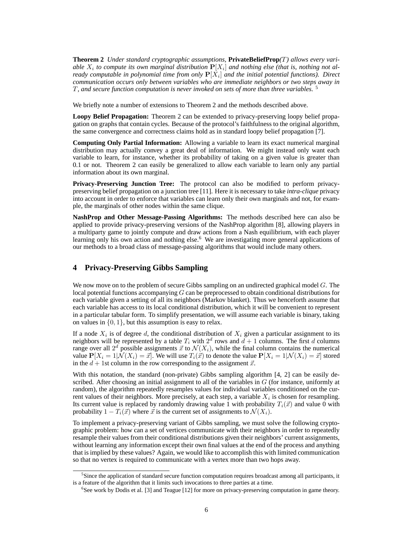**Theorem 2** *Under standard cryptographic assumptions,* **PrivateBeliefProp***(*T*) allows every vari*able  $X_i$  to compute its own marginal distribution  $P[X_i]$  and nothing else (that is, nothing not al*ready computable in polynomial time from only*  $P[X_i]$  *and the initial potential functions*). *Direct communication occurs only between variables who are immediate neighbors or two steps away in* T*, and secure function computation is never invoked on sets of more than three variables.* <sup>5</sup>

We briefly note a number of extensions to Theorem 2 and the methods described above.

**Loopy Belief Propagation:** Theorem 2 can be extended to privacy-preserving loopy belief propagation on graphs that contain cycles. Because of the protocol's faithfulness to the original algorithm, the same convergence and correctness claims hold as in standard loopy belief propagation [7].

**Computing Only Partial Information:** Allowing a variable to learn its exact numerical marginal distribution may actually convey a great deal of information. We might instead only want each variable to learn, for instance, whether its probability of taking on a given value is greater than 0.1 or not. Theorem 2 can easily be generalized to allow each variable to learn only any partial information about its own marginal.

**Privacy-Preserving Junction Tree:** The protocol can also be modified to perform privacypreserving belief propagation on a junction tree [11]. Here it is necessary to take *intra-clique* privacy into account in order to enforce that variables can learn only their own marginals and not, for example, the marginals of other nodes within the same clique.

**NashProp and Other Message-Passing Algorithms:** The methods described here can also be applied to provide privacy-preserving versions of the NashProp algorithm [8], allowing players in a multiparty game to jointly compute and draw actions from a Nash equilibrium, with each player learning only his own action and nothing else.<sup>6</sup> We are investigating more general applications of our methods to a broad class of message-passing algorithms that would include many others.

## **4 Privacy-Preserving Gibbs Sampling**

We now move on to the problem of secure Gibbs sampling on an undirected graphical model  $G$ . The local potential functions accompanying  $G$  can be preprocessed to obtain conditional distributions for each variable given a setting of all its neighbors (Markov blanket). Thus we henceforth assume that each variable has access to its local conditional distribution, which it will be convenient to represent in a particular tabular form. To simplify presentation, we will assume each variable is binary, taking on values in  $\{0, 1\}$ , but this assumption is easy to relax.

If a node  $X_i$  is of degree d, the conditional distribution of  $X_i$  given a particular assignment to its neighbors will be represented by a table  $T_i$  with  $2^d$  rows and  $d+1$  columns. The first d columns range over all  $2^d$  possible assignments  $\vec{x}$  to  $\mathcal{N}(X_i)$ , while the final column contains the numerical value  $P[X_i = 1 | \mathcal{N}(X_i) = \mathcal{X}]$ . We will use  $T_i(\mathcal{X})$  to denote the value  $P[X_i = 1 | \mathcal{N}(X_i) = \mathcal{X}]$  stored in the  $d + 1$ st column in the row corresponding to the assignment  $\vec{x}$ .

With this notation, the standard (non-private) Gibbs sampling algorithm [4, 2] can be easily described. After choosing an initial assignment to all of the variables in  $G$  (for instance, uniformly at random), the algorithm repeatedly resamples values for individual variables conditioned on the current values of their neighbors. More precisely, at each step, a variable  $X_i$  is chosen for resampling. Its current value is replaced by randomly drawing value 1 with probability  $T_i(\vec{x})$  and value 0 with probability  $1 - T_i(\vec{x})$  where  $\vec{x}$  is the current set of assignments to  $\mathcal{N}(X_i)$ .

To implement a privacy-preserving variant of Gibbs sampling, we must solve the following cryptographic problem: how can a set of vertices communicate with their neighbors in order to repeatedly resample their values from their conditional distributions given their neighbors' current assignments, without learning any information except their own final values at the end of the process and anything that is implied by these values? Again, we would like to accomplish this with limited communication so that no vertex is required to communicate with a vertex more than two hops away.

<sup>&</sup>lt;sup>5</sup>Since the application of standard secure function computation requires broadcast among all participants, it is a feature of the algorithm that it limits such invocations to three parties at a time.

<sup>6</sup> See work by Dodis et al. [3] and Teague [12] for more on privacy-preserving computation in game theory.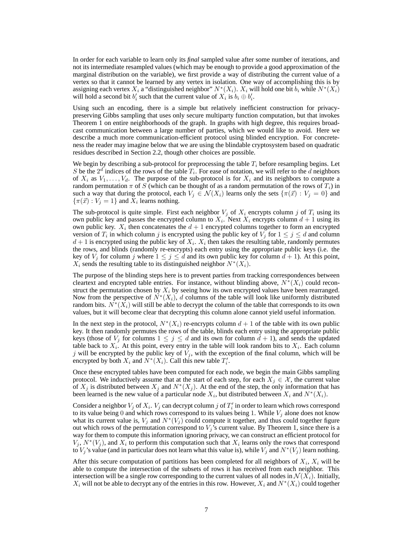In order for each variable to learn only its *final* sampled value after some number of iterations, and not its intermediate resampled values (which may be enough to provide a good approximation of the marginal distribution on the variable), we first provide a way of distributing the current value of a vertex so that it cannot be learned by any vertex in isolation. One way of accomplishing this is by assigning each vertex  $X_i$  a "distinguished neighbor"  $N^*(X_i)$ .  $X_i$  will hold one bit  $b_i$  while  $N^*(X_i)$ will hold a second bit  $b'_i$  such that the current value of  $X_i$  is  $b_i \oplus b'_i$ .

Using such an encoding, there is a simple but relatively inefficient construction for privacypreserving Gibbs sampling that uses only secure multiparty function computation, but that invokes Theorem 1 on entire neighborhoods of the graph. In graphs with high degree, this requires broadcast communication between a large number of parties, which we would like to avoid. Here we describe a much more communication-efficient protocol using blinded encryption. For concreteness the reader may imagine below that we are using the blindable cryptosystem based on quadratic residues described in Section 2.2, though other choices are possible.

We begin by describing a sub-protocol for preprocessing the table  $T_i$  before resampling begins. Let S be the  $2^d$  indices of the rows of the table  $T_i$ . For ease of notation, we will refer to the d neighbors of  $X_i$  as  $V_1, \ldots, V_d$ . The purpose of the sub-protocol is for  $X_i$  and its neighbors to compute a random permutation  $\pi$  of S (which can be thought of as a random permutation of the rows of  $T_i$ ) in such a way that during the protocol, each  $V_j \in \mathcal{N}(X_i)$  learns only the sets  $\{\pi(\vec{x}) : V_j = 0\}$  and  $\{\pi(\vec{x}) : V_j = 1\}$  and  $X_i$  learns nothing.

The sub-protocol is quite simple. First each neighbor  $V_j$  of  $X_i$  encrypts column j of  $T_i$  using its own public key and passes the encrypted column to  $X_i$ . Next  $X_i$  encrypts column  $d+1$  using its own public key.  $X_i$  then concatenates the  $d+1$  encrypted columns together to form an encrypted version of  $T_i$  in which column j is encrypted using the public key of  $V_j$  for  $1 \leq j \leq d$  and column  $d+1$  is encrypted using the public key of  $X_i$ .  $X_i$  then takes the resulting table, randomly permutes the rows, and blinds (randomly re-encrypts) each entry using the appropriate public keys (i.e. the key of  $V_j$  for column j where  $1 \leq j \leq d$  and its own public key for column  $d + 1$ ). At this point,  $X_i$  sends the resulting table to its distinguished neighbor  $N^*(X_i)$ .

The purpose of the blinding steps here is to prevent parties from tracking correspondences between cleartext and encrypted table entries. For instance, without blinding above,  $N^*(X_i)$  could reconstruct the permutation chosen by  $X_i$  by seeing how its own encrypted values have been rearranged. Now from the perspective of  $N^*(X_i)$ , d columns of the table will look like uniformly distributed random bits.  $N^*(X_i)$  will still be able to decrypt the column of the table that corresponds to its own values, but it will become clear that decrypting this column alone cannot yield useful information.

In the next step in the protocol,  $N^*(X_i)$  re-encrypts column  $d+1$  of the table with its own public key. It then randomly permutes the rows of the table, blinds each entry using the appropriate public keys (those of  $V_j$  for columns  $1 \leq j \leq d$  and its own for column  $d + 1$ ), and sends the updated table back to  $X_i$ . At this point, every entry in the table will look random bits to  $X_i$ . Each column j will be encrypted by the public key of  $V_j$ , with the exception of the final column, which will be encrypted by both  $X_i$  and  $\bar{N}^*(X_i)$ . Call this new table  $T'_i$ .

Once these encrypted tables have been computed for each node, we begin the main Gibbs sampling protocol. We inductively assume that at the start of each step, for each  $X_j \in \mathcal{X}$ , the current value of  $X_j$  is distributed between  $X_j$  and  $N^*(X_j)$ . At the end of the step, the only information that has been learned is the new value of a particular node  $X_i$ , but distributed between  $X_i$  and  $N^*(X_i)$ .

Consider a neighbor  $V_j$  of  $X_i$ .  $V_j$  can decrypt column  $j$  of  $T_i'$  in order to learn which rows correspond to its value being 0 and which rows correspond to its values being 1. While  $V_j$  alone does not know what its current value is,  $V_j$  and  $N^*(V_j)$  could compute it together, and thus could together figure out which rows of the permutation correspond to  $V_i$ 's current value. By Theorem 1, since there is a way for them to compute this information ignoring privacy, we can construct an efficient protocol for  $V_j$ ,  $N^*(V_j)$ , and  $X_i$  to perform this computation such that  $X_i$  learns only the rows that correspond to  $V_j$ 's value (and in particular does not learn what this value is), while  $V_j$  and  $N^*(V_j)$  learn nothing.

After this secure computation of partitions has been completed for all neighbors of  $X_i$ ,  $X_i$  will be able to compute the intersection of the subsets of rows it has received from each neighbor. This intersection will be a single row corresponding to the current values of all nodes in  $\mathcal{N}(X_i)$ . Initially,  $X_i$  will not be able to decrypt any of the entries in this row. However,  $X_i$  and  $N^*(X_i)$  could together